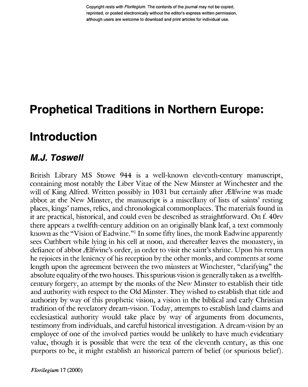Copyright rests with Florilegium. The contents of the journal may not be copied, reprinted, or posted electronically without the editor's express written permission, although users are welcome to download and print articles for individual use.

# **Prophetical Traditions in Northern Europe:**

# **Introduction**

#### **M.J. Toswell**

British Library MS Stowe 944 is a well-known eleventh-century manuscript, containing most notably the Liber Vitae of the New Minster at Winchester and the will of King Alfred. Written possibly in  $1031$  but certainly after Ælfwine was made abbot at the New Minster, the manuscript is a miscellany of lists of saints' resting places, kings' names, relics, and chronological commonplaces. The materials found in it are practical, historical, and could even be described as straightforward. On f. 40rv there appears a twelfth-century addition on an originally blank leaf, a text commonly known as the "Vision of Eadwine."<sup>1</sup> In some fifty lines, the monk Eadwine apparently sees Cuthbert while lying in his cell at noon, and thereafter leaves the monastery, in defiance of abbot Ælfwine's order, in order to visit the saint's shrine. Upon his return he rejoices in the leniency of his reception by the other monks, and comments at some length upon the agreement between the two minsters at Winchester, "clarifying" the absolute equality of the two houses. This spurious vision is generally taken as a twelfthcentury forgery, an attempt by the monks of the New Minster to establish their title and authority with respect to the Old Minster. They wished to establish that title and authority by way of this prophetic vision, a vision in the biblical and early Christian tradition of the revelatory dream-vision. Today, attempts to establish land claims and ecclesiastical authority would take place by way of arguments from documents, testimony from individuals, and careful historical investigation. A dream-vision by an employee of one of the involved parties would be unlikely to have much evidentiary value, though it is possible that were the text of the eleventh century, as this one purports to be, it might establish an historical pattern of belief (or spurious belief).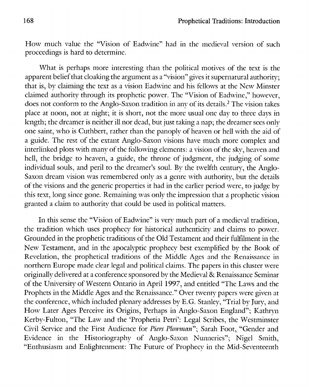How much value the "Vision of Eadwine" had in the medieval version of such proceedings is hard to determine.

What is perhaps more interesting than the political motives of the text is the apparent belief that cloaking the argument as a "vision" gives it supernatural authority; that is, by claiming the text as a vision Eadwine and his fellows at the New Minster claimed authority through its prophetic power. The "Vision of Eadwine," however, does not conform to the Anglo-Saxon tradition in any of its details.<sup>2</sup> The vision takes place at noon, not at night; it is short, not the more usual one day to three days in length; the dreamer is neither ill nor dead, but just taking a nap; the dreamer sees only one saint, who is Cuthbert, rather than the panoply of heaven or hell with the aid of a guide. The rest of the extant Anglo-Saxon visions have much more complex and interlinked plots with many of the following elements: a vision of the skv, heaven and hell, the bridge to heaven, a guide, the throne of judgment, the judging of some individual souls, and peril to the dreamer's soul. By the twelfth century, the Anglo-Saxon dream vision was remembered only as a genre with authority, but the details of the visions and the generic properties it had in the earlier period were, to judge by this text, long since gone. Remaining was only the impression that a prophetic vision granted a claim to authority that could be used in political matters.

In this sense the "Vision of Eadwine" is very much part of a medieval tradition, the tradition which uses prophecy for historical authenticity and claims to power. Grounded in the prophetic traditions of the Old Testament and their fulfilment in the New Testament, and in the apocalyptic prophecy best exemplified by the Book of Revelation, the prophetical traditions of the Middle Ages and the Renaissance in northern Europe made clear legal and political claims. The papers in this cluster were originally delivered at a conference sponsored by the Medieval & Renaissance Seminar of the University of Western Ontario in April 1997, and entitled "The Laws and the Prophets in the Middle Ages and the Renaissance." Over twenty papers were given at the conference, which included plenary addresses by E.G. Stanley, "Trial by Jury, and How Later Ages Perceive its Origins, Perhaps in Anglo-Saxon England"; Kathryn Kerby-Fulton, "The Law and the 'Prophetia Petri': Legal Scribes, the Westminster Civil Service and the First Audience for *Piers Plowman*"; Sarah Foot, "Gender and Evidence in the Historiography of Anglo-Saxon Nunneries"; Nigel Smith, "Enthusiasm and Enlightenment: The Future of Prophecv in the Mid-Seventeenth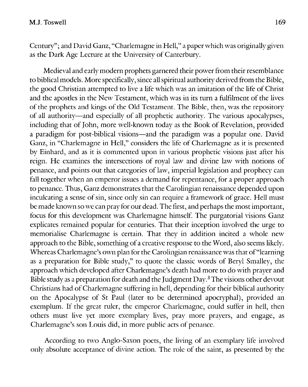Century"; and David Ganz, "Charlemagne in Hell," a paper which was originally given as the Dark Age Lecture at the University of Canterbury.

Medieval and early modern prophets garnered their power from their resemblance to biblical models. More specifically, since all spiritual authority derived from the Bible, the good Christian attempted to live a life which was an imitation of the life of Christ and the apostles in the New Testament, which was in its turn a fulfilment of the lives of the prophets and kings of the Old Testament. The Bible, then, was the repository of all authority—and especially of all prophetic authority. The various apocalypses, including that of John, more well-known today as the Book of Revelation, provided a paradigm for post-biblical visions—and the paradigm was a popular one. David Ganz, in "Charlemagne in Hell," considers the life of Charlemagne as it is presented by Einhard, and as it is commented upon in various prophetic visions just after his reign. He examines the intersections of royal law and divine law with notions of penance, and points out that categories of law, imperial legislation and prophecy can fall together when an emperor issues a demand for repentance, for a proper approach to penance. Thus, Ganz demonstrates that the Carolingian renaissance depended upon inculcating a sense of sin, since only sin can require a framework of grace. Hell must be made known so we can pray for our dead. The first, and perhaps the most important, focus for this development was Charlemagne himself. The purgatorial visions Ganz explicates remained popular for centuries. That their inception involved the urge to memorialise Charlemagne is certain. That they in addition incited a whole new approach to the Bible, something of a creative response to the Word, also seems likely. Whereas Charlemagne's own plan for the Carolingian renaissance was that of "learning as a preparation for Bible study," to quote the classic words of Beryl Smalley, the approach which developed after Charlemagne's death had more to do with prayer and Bible study as a preparation for death and the Judgment Day.<sup>3</sup> The visions other devout Christians had of Charlemagne suffering in hell, depending for their biblical authority on the Apocalypse of St Paul (later to be determined apocryphal), provided an exemplum. If the great ruler, the emperor Charlemagne, could suffer in hell, then others must live yet more exemplary lives, pray more prayers, and engage, as Charlemagne's son Louis did, in more public acts of penance.

According to two Anglo-Saxon poets, the living of an exemplary life involved only absolute acceptance of divine action. The role of the saint, as presented by the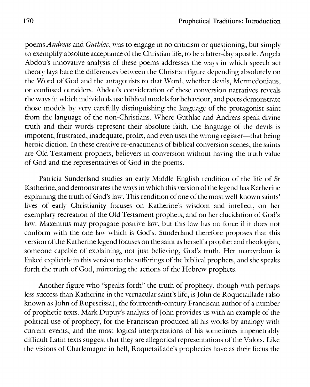poems *Andreas* and *Guthlac*, was to engage in no criticism or questioning, but simply to exemplify absolute acceptance of the Christian life, to be a latter-day apostle. Angela Abdou's innovative analysis of these poems addresses the ways in which speech act theory lays bare the differences between the Christian figure depending absolutely on the Word of God and the antagonists to that Word, whether devils, Mermedonians, or confused outsiders. Abdou's consideration of these conversion narratives reveals the ways in which individuals use biblical models for behaviour, and poets demonstrate those models by very carefully distinguishing the language of the protagonist saint from the language of the non-Christians. Where Guthlac and Andreas speak divine truth and their words represent their absolute faith, the language of the devils is impotent, frustrated, inadequate, prolix, and even uses the wrong register—that being heroic diction. In these creative re-enactments of biblical conversion scenes, the saints are Old Testament prophets, believers in conversion without having the truth value of God and the representatives of God in the poems.

Patricia Sunderland studies an early Middle English rendition of the life of St Katherine, and demonstrates the ways in which this version of the legend has Katherine explaining the truth of God's law. This rendition of one of the most well-known saints' lives of early Christianity focuses on Katherine's wisdom and intellect, on her exemplary recreation of the Old Testament prophets, and on her elucidation of God's law. Maxentius may propagate positive law, but this law has no force if it does not conform with the one law which is God's. Sunderland therefore proposes that this version of the Katherine legend focuses on the saint as herself a prophet and theologian, someone capable of explaining, not just believing, God's truth. Her martyrdom is linked explicitly in this version to the sufferings of the biblical prophets, and she speaks forth the truth of God, mirroring the actions of the Hebrew prophets.

Another figure who "speaks forth" the truth of prophecy, though with perhaps less success than Katherine in the vernacular saint's life, is John de Roquetaillade (also known as John of Rupescissa), the fourteenth-century Franciscan author of a number of prophetic texts. Mark Dupuy's analysis of John provides us with an example of the political use of prophecy, for the Franciscan produced all his works by analogy with current events, and the most logical interpretations of his sometimes impenetrably difficult Latin texts suggest that they are allegorical representations of the Valois. Like the visions of Charlemagne in hell, Roquetaillade's prophecies have as their focus the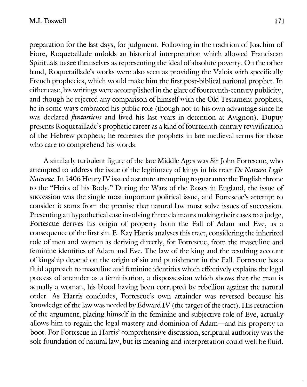preparation for the last days, for judgment. Following in the tradition of Joachim of Fiore, Roquetaillade unfolds an historical interpretation which allowed Franciscan Spirituals to see themselves as representing the ideal of absolute poverty. On the other hand, Roquetaillade's works were also seen as providing the Valois with specifically French prophecies, which would make him the first post-biblical national prophet. In either case, his writings were accomplished in the glare of fourteenth-century publicity, and though he rejected any comparison of himself with the Old Testament prophets, he in some ways embraced his public role (though not to his own advantage since he was declared *fantasticus* and lived his last years in detention at Avignon). Dupuy presents Roquetaillade's prophetic career as a kind of fourteenth-century revivification of the Hebrew prophets; he recreates the prophets in late medieval terms for those who care to comprehend his words.

A similarly turbulent figure of the late Middle Ages was Sir John Fortescue, who attempted to address the issue of the legitimacy of kings in his tract *De Natura Legis Naturae.* In 1406 Henry IV issued a statute attempting to guarantee the English throne to the "Heirs of his Body." During the Wars of the Roses in England, the issue of succession was the single most important political issue, and Fortescue's attempt to consider it starts from the premise that natural law must solve issues of succession. Presenting an hypothetical case involving three claimants making their cases to a judge, Fortescue derives his origin of property from the Fall of Adam and Eve, as a consequence of the first sin. E. Kay Harris analyses this tract, considering the inherited role of men and women as deriving directly, for Fortescue, from the masculine and feminine identities of Adam and Eve. The law of the king and the resulting account of kingship depend on the origin of sin and punishment in the Fall. Fortescue has a fluid approach to masculine and feminine identities which effectively explains the legal process of attainder as a féminisation, a dispossession which shows that the man is actually a woman, his blood having been corrupted by rebellion against the natural order. As Harris concludes, Fortescue's own attainder was reversed because his knowledge of the law was needed by Edward IV (the target of the tract). His retraction of the argument, placing himself in the feminine and subjective role of Eve, actually allows him to regain the legal mastery and dominion of Adam—and his property to boot. For Fortescue in Harris' comprehensive discussion, scriptural authority was the sole foundation of natural law, but its meaning and interpretation could well be fluid.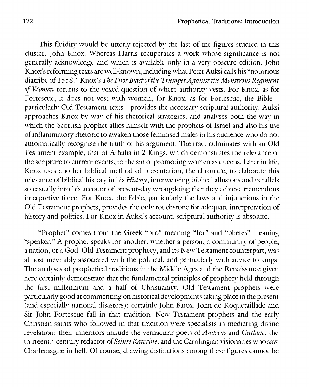This fluidity would be utterly rejected by the last of the figures studied in this cluster, John Knox. Whereas Harris recuperates a work whose significance is not generally acknowledge and which is available only in a very obscure edition, John Knox's reforming texts are well-known, including what Peter Auksi calls his "notorious diatribe of 1558." Knox's *The First Blast of the Trumpet Against the Monstrous Regiment of Women* returns to the vexed question of where authority vests. For Knox, as for Fortescue, it does not vest with women; for Knox, as for Fortescuc, the Bible particularly Old Testament texts—provides the necessary scriptural authority. Auksi approaches Knox by way of his rhetorical strategies, and analyses both the way in which the Scottish prophet allies himself with the prophets of Israel and also his use of inflammatory rhetoric to awaken those feminised males in his audience who do not automatically recognise the truth of his argument. The tract culminates with an Old Testament example, that of Athalia in 2 Kings, which demonstrates the relevance of the scripture to current events, to the sin of promoting women as queens. Later in life, Knox uses another biblical method of presentation, the chronicle, to elaborate this relevance of biblical history in his *History*, interweaving biblical allusions and parallels so casually into his account of present-day wrongdoing that they achieve tremendous interpretive force. For Knox, the Bible, particularly the laws and injunctions in the Old Testament prophets, provides the only touchstone for adequate interpretation of history and politics. For Knox in Auksi's account, scriptural authority is absolute.

"Prophet" comes from the Greek "pro" meaning "for" and "phetes" meaning "speaker." A prophet speaks for another, whether a person, a community of people, a nation, or a God. Old Testament prophecy, and its New Testament counterpart, was almost inevitably associated with the political, and particularly with advice to kings. The analyses of prophetical traditions in the Middle Ages and the Renaissance given here certainly demonstrate that the fundamental principles of prophecy held through the first millennium and a half of Christianity. Old Testament prophets were particularly good at commenting on historical developments taking place in the present (and especially national disasters): certainly John Knox, John de Roquetaillade and Sir John Fortescue fall in that tradition. New Testament prophets and the early Christian saints who followed in that tradition were specialists in mediating divine revelation: their inheritors include the vernacular poets of *Andreas* and *Guthlac*, the thirteenth-century redactor of *Seinte Katerine*, and the Carolingian visionaries who saw Charlemagne in hell. Of course, drawing distinctions among these figures cannot be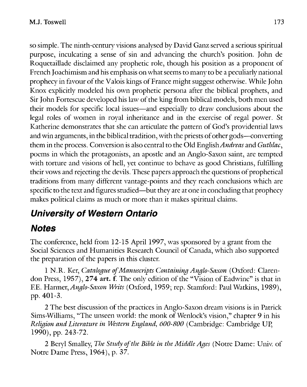so simple. The ninth-century visions analysed by David Ganz served a serious spiritual purpose, inculcating a sense of sin and advancing the church's position. John de Roquetaillade disclaimed any prophetic role, though his position as a proponent of French Joachimism and his emphasis on what seems to many to be a peculiarly national prophecy in favour of the Valois kings of France might suggest otherwise. While John Knox explicitly modeled his own prophetic persona after the biblical prophets, and Sir John Fortescue developed his law of the king from biblical models, both men used their models for specific local issues—and especially to draw conclusions about the legal roles of women in royal inheritance and in the exercise of regal power. St Katherine demonstrates that she can articulate the pattern of God's providential laws and win arguments, in the biblical tradition, with the priests of other gods—converting them in the process. Conversion is also central to the Old *English Andreas* and *Guthlac,*  poems in which the protagonists, an apostle and an Anglo-Saxon saint, are tempted with torture and visions of hell, yet continue to behave as good Christians, fulfilling their vows and rejecting the devils. These papers approach the questions of prophetical traditions from many different vantage-points and they reach conclusions which are specific to the text and figures studied—but they are at one in concluding that prophecy makes political claims as much or more than it makes spiritual claims.

## *University of Western Ontario*

### *Notes*

The conference, held from 12-15 April 1997, was sponsored by a grant from the Social Sciences and Humanities Research Council of Canada, which also supported the preparation of the papers in this cluster.

1 N.R. Ker, *Catalogue of Manuscripts Containing Anglo-Saxon* (Oxford: Clarendon Press, 1957), 274 art. f. The only edition of the "Vision of Eadwine" is that in F.E. *YLarmtr, Anglo-Saxon Writs* (Oxford, 1959; rep. Stamford: Paul Watkins, 1989), pp. 401-3.

2 The best discussion of the practices in Anglo-Saxon dream visions is in Patrick Sims-Williams, "The unseen world: the monk of Wenlock's vision," chapter 9 in his *Religion and Literature in Western England, 600-800* (Cambridge: Cambridge UP, 1990), pp. 243-72.

2 Beryl Smalley, *The Study of the Bible in the Middle Ages* (Notre Dame: Univ. of Notre Dame Press, 1964), p. 37.